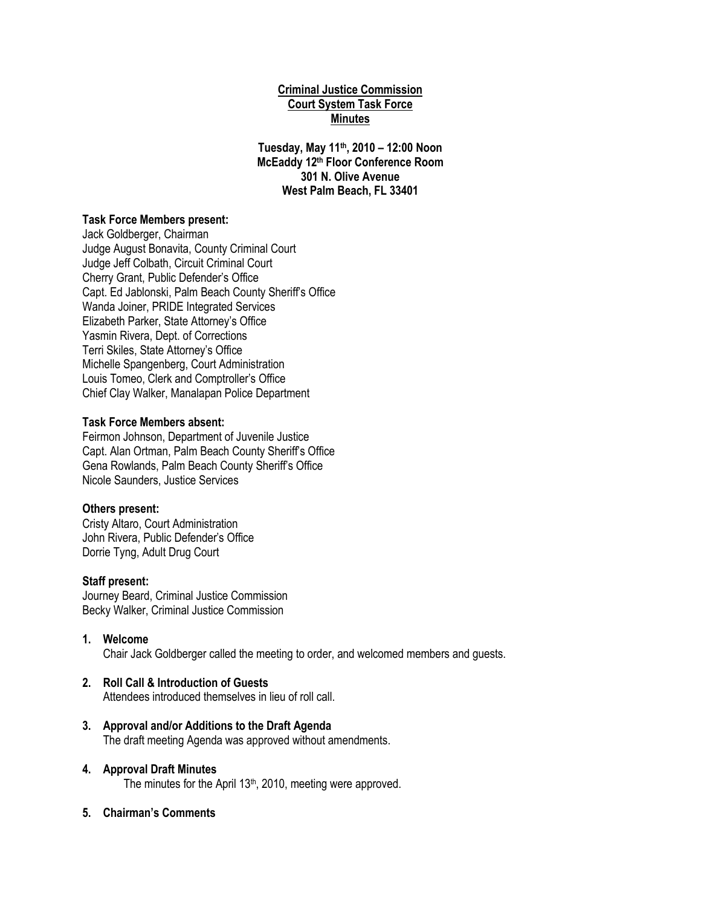### **Criminal Justice Commission Court System Task Force Minutes**

**Tuesday, May 11th, 2010 – 12:00 Noon McEaddy 12th Floor Conference Room 301 N. Olive Avenue West Palm Beach, FL 33401**

### **Task Force Members present:**

Jack Goldberger, Chairman Judge August Bonavita, County Criminal Court Judge Jeff Colbath, Circuit Criminal Court Cherry Grant, Public Defender's Office Capt. Ed Jablonski, Palm Beach County Sheriff's Office Wanda Joiner, PRIDE Integrated Services Elizabeth Parker, State Attorney's Office Yasmin Rivera, Dept. of Corrections Terri Skiles, State Attorney's Office Michelle Spangenberg, Court Administration Louis Tomeo, Clerk and Comptroller's Office Chief Clay Walker, Manalapan Police Department

### **Task Force Members absent:**

Feirmon Johnson, Department of Juvenile Justice Capt. Alan Ortman, Palm Beach County Sheriff's Office Gena Rowlands, Palm Beach County Sheriff's Office Nicole Saunders, Justice Services

#### **Others present:**

Cristy Altaro, Court Administration John Rivera, Public Defender's Office Dorrie Tyng, Adult Drug Court

#### **Staff present:**

Journey Beard, Criminal Justice Commission Becky Walker, Criminal Justice Commission

#### **1. Welcome**

Chair Jack Goldberger called the meeting to order, and welcomed members and guests.

### **2. Roll Call & Introduction of Guests**

Attendees introduced themselves in lieu of roll call.

**3. Approval and/or Additions to the Draft Agenda** The draft meeting Agenda was approved without amendments.

# **4. Approval Draft Minutes**

The minutes for the April  $13<sup>th</sup>$ , 2010, meeting were approved.

**5. Chairman's Comments**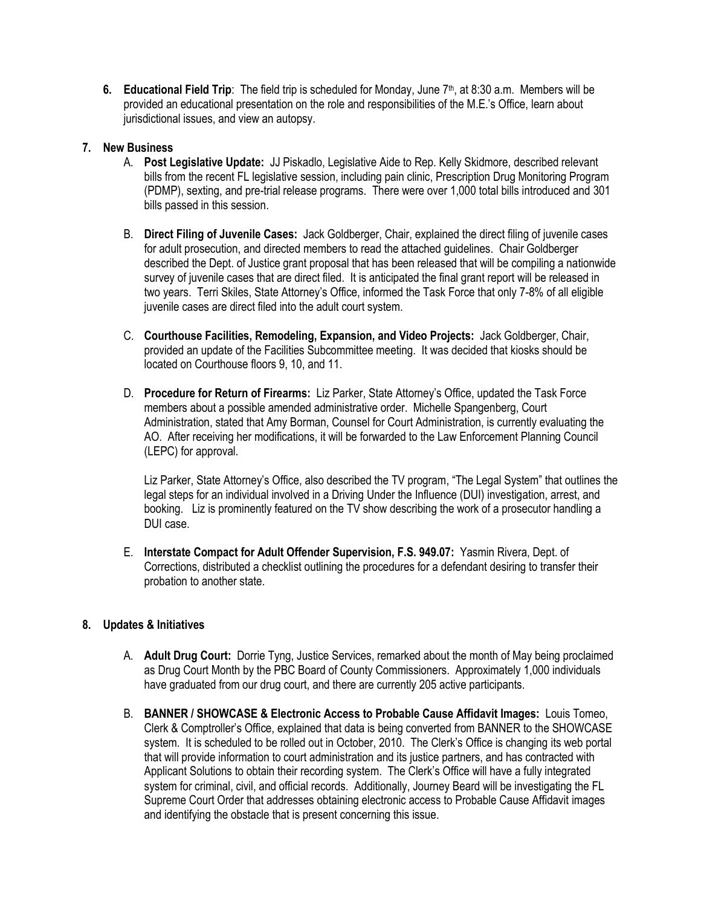**6. Educational Field Trip**: The field trip is scheduled for Monday, June 7th, at 8:30 a.m. Members will be provided an educational presentation on the role and responsibilities of the M.E.'s Office, learn about jurisdictional issues, and view an autopsy.

### **7. New Business**

- A. **Post Legislative Update:** JJ Piskadlo, Legislative Aide to Rep. Kelly Skidmore, described relevant bills from the recent FL legislative session, including pain clinic, Prescription Drug Monitoring Program (PDMP), sexting, and pre-trial release programs. There were over 1,000 total bills introduced and 301 bills passed in this session.
- B. **Direct Filing of Juvenile Cases:** Jack Goldberger, Chair, explained the direct filing of juvenile cases for adult prosecution, and directed members to read the attached guidelines. Chair Goldberger described the Dept. of Justice grant proposal that has been released that will be compiling a nationwide survey of juvenile cases that are direct filed. It is anticipated the final grant report will be released in two years. Terri Skiles, State Attorney's Office, informed the Task Force that only 7-8% of all eligible juvenile cases are direct filed into the adult court system.
- C. **Courthouse Facilities, Remodeling, Expansion, and Video Projects:** Jack Goldberger, Chair, provided an update of the Facilities Subcommittee meeting. It was decided that kiosks should be located on Courthouse floors 9, 10, and 11.
- D. **Procedure for Return of Firearms:** Liz Parker, State Attorney's Office, updated the Task Force members about a possible amended administrative order. Michelle Spangenberg, Court Administration, stated that Amy Borman, Counsel for Court Administration, is currently evaluating the AO. After receiving her modifications, it will be forwarded to the Law Enforcement Planning Council (LEPC) for approval.

Liz Parker, State Attorney's Office, also described the TV program, "The Legal System" that outlines the legal steps for an individual involved in a Driving Under the Influence (DUI) investigation, arrest, and booking. Liz is prominently featured on the TV show describing the work of a prosecutor handling a DUI case.

E. **Interstate Compact for Adult Offender Supervision, F.S. 949.07:** Yasmin Rivera, Dept. of Corrections, distributed a checklist outlining the procedures for a defendant desiring to transfer their probation to another state.

# **8. Updates & Initiatives**

- A. **Adult Drug Court:** Dorrie Tyng, Justice Services, remarked about the month of May being proclaimed as Drug Court Month by the PBC Board of County Commissioners. Approximately 1,000 individuals have graduated from our drug court, and there are currently 205 active participants.
- B. **BANNER / SHOWCASE & Electronic Access to Probable Cause Affidavit Images:** Louis Tomeo, Clerk & Comptroller's Office, explained that data is being converted from BANNER to the SHOWCASE system. It is scheduled to be rolled out in October, 2010. The Clerk's Office is changing its web portal that will provide information to court administration and its justice partners, and has contracted with Applicant Solutions to obtain their recording system. The Clerk's Office will have a fully integrated system for criminal, civil, and official records. Additionally, Journey Beard will be investigating the FL Supreme Court Order that addresses obtaining electronic access to Probable Cause Affidavit images and identifying the obstacle that is present concerning this issue.